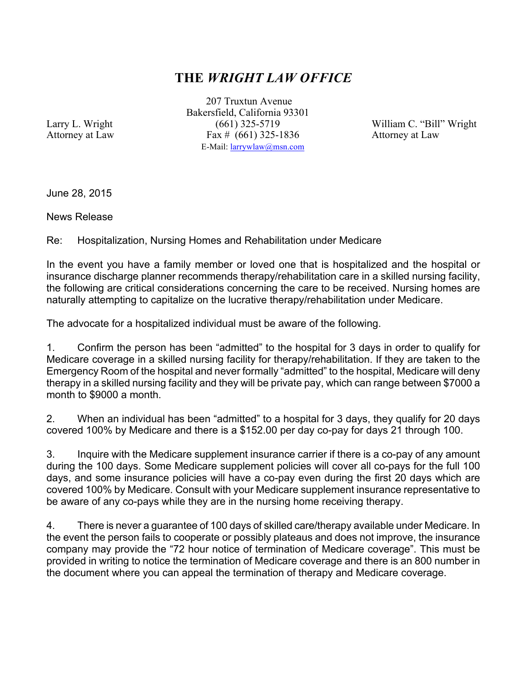## **THE** *WRIGHT LAW OFFICE*

207 Truxtun Avenue Bakersfield, California 93301 Larry L. Wright (661) 325-5719 William C. "Bill" Wright Attorney at Law Fax # (661) 325-1836 Attorney at Law E-Mail: larrywlaw@msn.com

June 28, 2015

News Release

Re: Hospitalization, Nursing Homes and Rehabilitation under Medicare

In the event you have a family member or loved one that is hospitalized and the hospital or insurance discharge planner recommends therapy/rehabilitation care in a skilled nursing facility, the following are critical considerations concerning the care to be received. Nursing homes are naturally attempting to capitalize on the lucrative therapy/rehabilitation under Medicare.

The advocate for a hospitalized individual must be aware of the following.

1. Confirm the person has been "admitted" to the hospital for 3 days in order to qualify for Medicare coverage in a skilled nursing facility for therapy/rehabilitation. If they are taken to the Emergency Room of the hospital and never formally "admitted" to the hospital, Medicare will deny therapy in a skilled nursing facility and they will be private pay, which can range between \$7000 a month to \$9000 a month.

2. When an individual has been "admitted" to a hospital for 3 days, they qualify for 20 days covered 100% by Medicare and there is a \$152.00 per day co-pay for days 21 through 100.

3. Inquire with the Medicare supplement insurance carrier if there is a co-pay of any amount during the 100 days. Some Medicare supplement policies will cover all co-pays for the full 100 days, and some insurance policies will have a co-pay even during the first 20 days which are covered 100% by Medicare. Consult with your Medicare supplement insurance representative to be aware of any co-pays while they are in the nursing home receiving therapy.

4. There is never a guarantee of 100 days of skilled care/therapy available under Medicare. In the event the person fails to cooperate or possibly plateaus and does not improve, the insurance company may provide the "72 hour notice of termination of Medicare coverage". This must be provided in writing to notice the termination of Medicare coverage and there is an 800 number in the document where you can appeal the termination of therapy and Medicare coverage.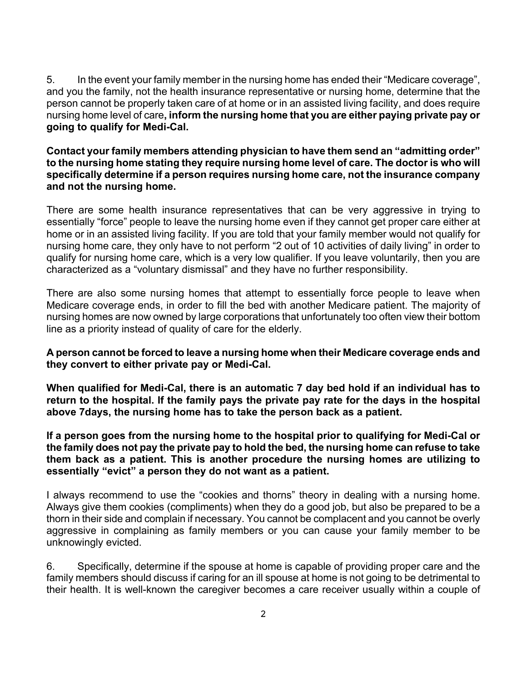5. In the event your family member in the nursing home has ended their "Medicare coverage", and you the family, not the health insurance representative or nursing home, determine that the person cannot be properly taken care of at home or in an assisted living facility, and does require nursing home level of care**, inform the nursing home that you are either paying private pay or going to qualify for Medi-Cal.**

## **Contact your family members attending physician to have them send an "admitting order" to the nursing home stating they require nursing home level of care. The doctor is who will specifically determine if a person requires nursing home care, not the insurance company and not the nursing home.**

There are some health insurance representatives that can be very aggressive in trying to essentially "force" people to leave the nursing home even if they cannot get proper care either at home or in an assisted living facility. If you are told that your family member would not qualify for nursing home care, they only have to not perform "2 out of 10 activities of daily living" in order to qualify for nursing home care, which is a very low qualifier. If you leave voluntarily, then you are characterized as a "voluntary dismissal" and they have no further responsibility.

There are also some nursing homes that attempt to essentially force people to leave when Medicare coverage ends, in order to fill the bed with another Medicare patient. The majority of nursing homes are now owned by large corporations that unfortunately too often view their bottom line as a priority instead of quality of care for the elderly.

## **A person cannot be forced to leave a nursing home when their Medicare coverage ends and they convert to either private pay or Medi-Cal.**

**When qualified for Medi-Cal, there is an automatic 7 day bed hold if an individual has to return to the hospital. If the family pays the private pay rate for the days in the hospital above 7days, the nursing home has to take the person back as a patient.**

**If a person goes from the nursing home to the hospital prior to qualifying for Medi-Cal or the family does not pay the private pay to hold the bed, the nursing home can refuse to take them back as a patient. This is another procedure the nursing homes are utilizing to essentially "evict" a person they do not want as a patient.**

I always recommend to use the "cookies and thorns" theory in dealing with a nursing home. Always give them cookies (compliments) when they do a good job, but also be prepared to be a thorn in their side and complain if necessary. You cannot be complacent and you cannot be overly aggressive in complaining as family members or you can cause your family member to be unknowingly evicted.

6. Specifically, determine if the spouse at home is capable of providing proper care and the family members should discuss if caring for an ill spouse at home is not going to be detrimental to their health. It is well-known the caregiver becomes a care receiver usually within a couple of